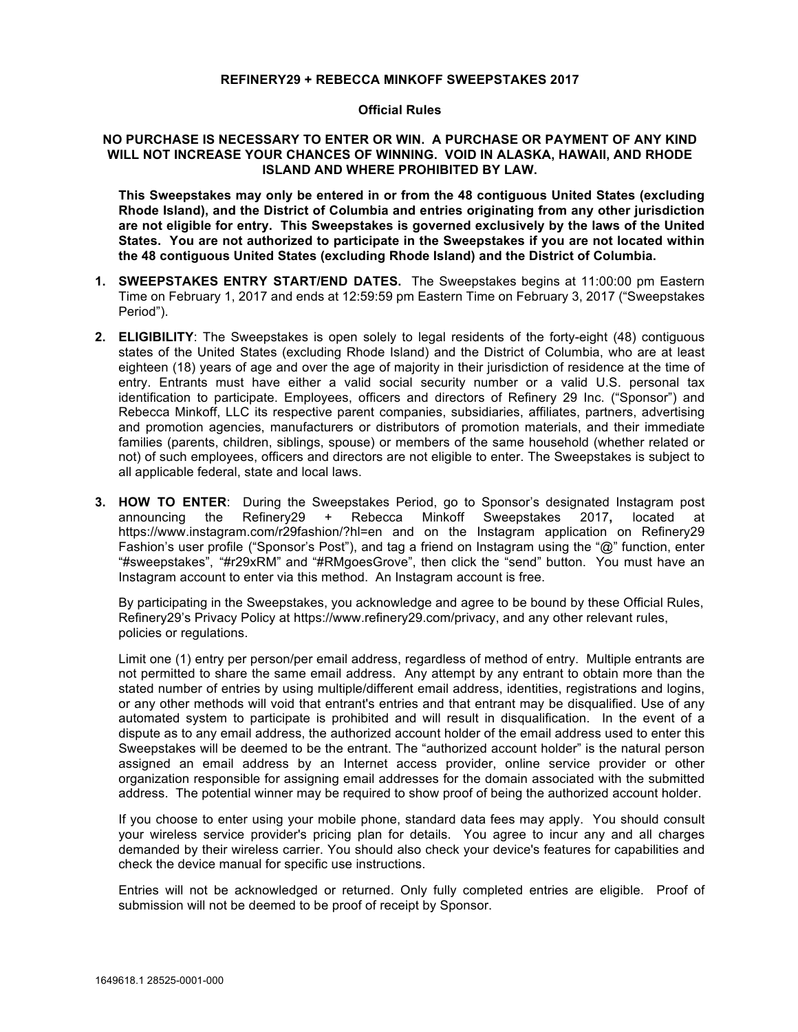## **REFINERY29 + REBECCA MINKOFF SWEEPSTAKES 2017**

## **Official Rules**

## **NO PURCHASE IS NECESSARY TO ENTER OR WIN. A PURCHASE OR PAYMENT OF ANY KIND WILL NOT INCREASE YOUR CHANCES OF WINNING. VOID IN ALASKA, HAWAII, AND RHODE ISLAND AND WHERE PROHIBITED BY LAW.**

**This Sweepstakes may only be entered in or from the 48 contiguous United States (excluding Rhode Island), and the District of Columbia and entries originating from any other jurisdiction are not eligible for entry. This Sweepstakes is governed exclusively by the laws of the United States. You are not authorized to participate in the Sweepstakes if you are not located within the 48 contiguous United States (excluding Rhode Island) and the District of Columbia.** 

- **1. SWEEPSTAKES ENTRY START/END DATES.** The Sweepstakes begins at 11:00:00 pm Eastern Time on February 1, 2017 and ends at 12:59:59 pm Eastern Time on February 3, 2017 ("Sweepstakes Period").
- **2. ELIGIBILITY**: The Sweepstakes is open solely to legal residents of the forty-eight (48) contiguous states of the United States (excluding Rhode Island) and the District of Columbia, who are at least eighteen (18) years of age and over the age of majority in their jurisdiction of residence at the time of entry. Entrants must have either a valid social security number or a valid U.S. personal tax identification to participate. Employees, officers and directors of Refinery 29 Inc. ("Sponsor") and Rebecca Minkoff, LLC its respective parent companies, subsidiaries, affiliates, partners, advertising and promotion agencies, manufacturers or distributors of promotion materials, and their immediate families (parents, children, siblings, spouse) or members of the same household (whether related or not) of such employees, officers and directors are not eligible to enter. The Sweepstakes is subject to all applicable federal, state and local laws.
- **3. HOW TO ENTER**: During the Sweepstakes Period, go to Sponsor's designated Instagram post announcing the Refinery29 + Rebecca Minkoff Sweepstakes 2017**,** located at https://www.instagram.com/r29fashion/?hl=en and on the Instagram application on Refinery29 Fashion's user profile ("Sponsor's Post"), and tag a friend on Instagram using the "@" function, enter "#sweepstakes", "#r29xRM" and "#RMgoesGrove", then click the "send" button. You must have an Instagram account to enter via this method. An Instagram account is free.

By participating in the Sweepstakes, you acknowledge and agree to be bound by these Official Rules, Refinery29's Privacy Policy at https://www.refinery29.com/privacy, and any other relevant rules, policies or regulations.

Limit one (1) entry per person/per email address, regardless of method of entry. Multiple entrants are not permitted to share the same email address. Any attempt by any entrant to obtain more than the stated number of entries by using multiple/different email address, identities, registrations and logins, or any other methods will void that entrant's entries and that entrant may be disqualified. Use of any automated system to participate is prohibited and will result in disqualification. In the event of a dispute as to any email address, the authorized account holder of the email address used to enter this Sweepstakes will be deemed to be the entrant. The "authorized account holder" is the natural person assigned an email address by an Internet access provider, online service provider or other organization responsible for assigning email addresses for the domain associated with the submitted address. The potential winner may be required to show proof of being the authorized account holder.

If you choose to enter using your mobile phone, standard data fees may apply. You should consult your wireless service provider's pricing plan for details. You agree to incur any and all charges demanded by their wireless carrier. You should also check your device's features for capabilities and check the device manual for specific use instructions.

Entries will not be acknowledged or returned. Only fully completed entries are eligible. Proof of submission will not be deemed to be proof of receipt by Sponsor.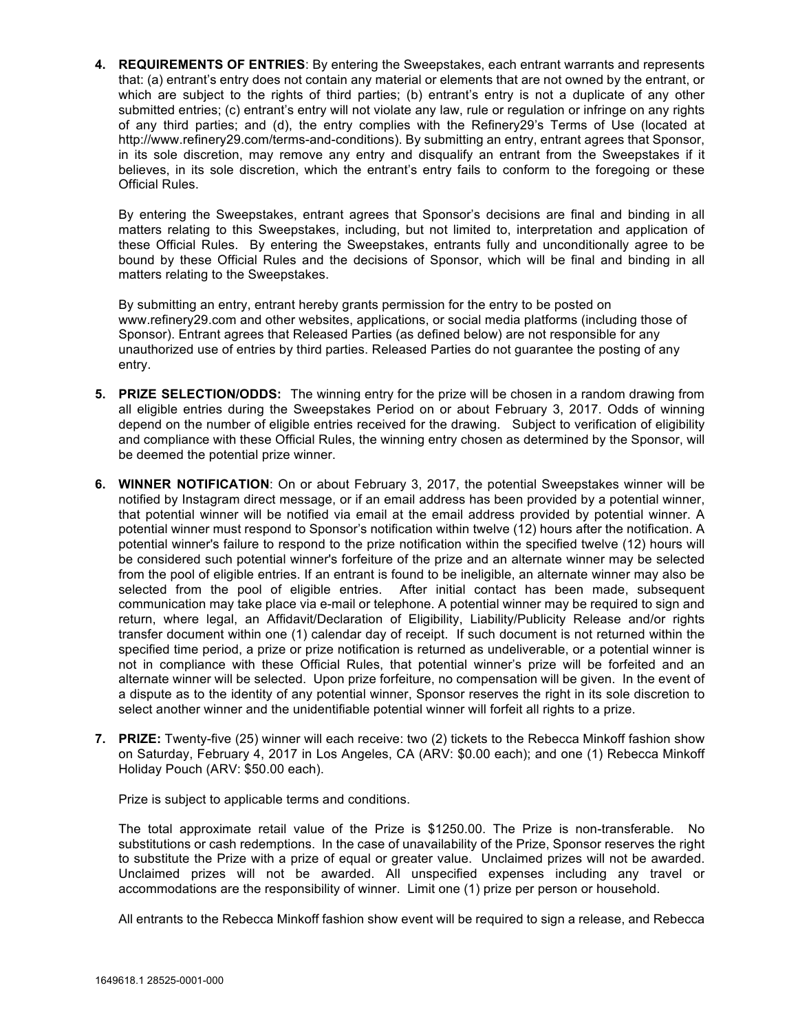**4. REQUIREMENTS OF ENTRIES**: By entering the Sweepstakes, each entrant warrants and represents that: (a) entrant's entry does not contain any material or elements that are not owned by the entrant, or which are subject to the rights of third parties; (b) entrant's entry is not a duplicate of any other submitted entries; (c) entrant's entry will not violate any law, rule or regulation or infringe on any rights of any third parties; and (d), the entry complies with the Refinery29's Terms of Use (located at http://www.refinery29.com/terms-and-conditions). By submitting an entry, entrant agrees that Sponsor, in its sole discretion, may remove any entry and disqualify an entrant from the Sweepstakes if it believes, in its sole discretion, which the entrant's entry fails to conform to the foregoing or these Official Rules.

By entering the Sweepstakes, entrant agrees that Sponsor's decisions are final and binding in all matters relating to this Sweepstakes, including, but not limited to, interpretation and application of these Official Rules. By entering the Sweepstakes, entrants fully and unconditionally agree to be bound by these Official Rules and the decisions of Sponsor, which will be final and binding in all matters relating to the Sweepstakes.

By submitting an entry, entrant hereby grants permission for the entry to be posted on www.refinery29.com and other websites, applications, or social media platforms (including those of Sponsor). Entrant agrees that Released Parties (as defined below) are not responsible for any unauthorized use of entries by third parties. Released Parties do not guarantee the posting of any entry.

- **5. PRIZE SELECTION/ODDS:** The winning entry for the prize will be chosen in a random drawing from all eligible entries during the Sweepstakes Period on or about February 3, 2017. Odds of winning depend on the number of eligible entries received for the drawing. Subject to verification of eligibility and compliance with these Official Rules, the winning entry chosen as determined by the Sponsor, will be deemed the potential prize winner.
- **6. WINNER NOTIFICATION**: On or about February 3, 2017, the potential Sweepstakes winner will be notified by Instagram direct message, or if an email address has been provided by a potential winner, that potential winner will be notified via email at the email address provided by potential winner. A potential winner must respond to Sponsor's notification within twelve (12) hours after the notification. A potential winner's failure to respond to the prize notification within the specified twelve (12) hours will be considered such potential winner's forfeiture of the prize and an alternate winner may be selected from the pool of eligible entries. If an entrant is found to be ineligible, an alternate winner may also be selected from the pool of eligible entries. After initial contact has been made, subsequent communication may take place via e-mail or telephone. A potential winner may be required to sign and return, where legal, an Affidavit/Declaration of Eligibility, Liability/Publicity Release and/or rights transfer document within one (1) calendar day of receipt. If such document is not returned within the specified time period, a prize or prize notification is returned as undeliverable, or a potential winner is not in compliance with these Official Rules, that potential winner's prize will be forfeited and an alternate winner will be selected. Upon prize forfeiture, no compensation will be given. In the event of a dispute as to the identity of any potential winner, Sponsor reserves the right in its sole discretion to select another winner and the unidentifiable potential winner will forfeit all rights to a prize.
- **7. PRIZE:** Twenty-five (25) winner will each receive: two (2) tickets to the Rebecca Minkoff fashion show on Saturday, February 4, 2017 in Los Angeles, CA (ARV: \$0.00 each); and one (1) Rebecca Minkoff Holiday Pouch (ARV: \$50.00 each).

Prize is subject to applicable terms and conditions.

The total approximate retail value of the Prize is \$1250.00. The Prize is non-transferable. No substitutions or cash redemptions. In the case of unavailability of the Prize, Sponsor reserves the right to substitute the Prize with a prize of equal or greater value. Unclaimed prizes will not be awarded. Unclaimed prizes will not be awarded. All unspecified expenses including any travel or accommodations are the responsibility of winner. Limit one (1) prize per person or household.

All entrants to the Rebecca Minkoff fashion show event will be required to sign a release, and Rebecca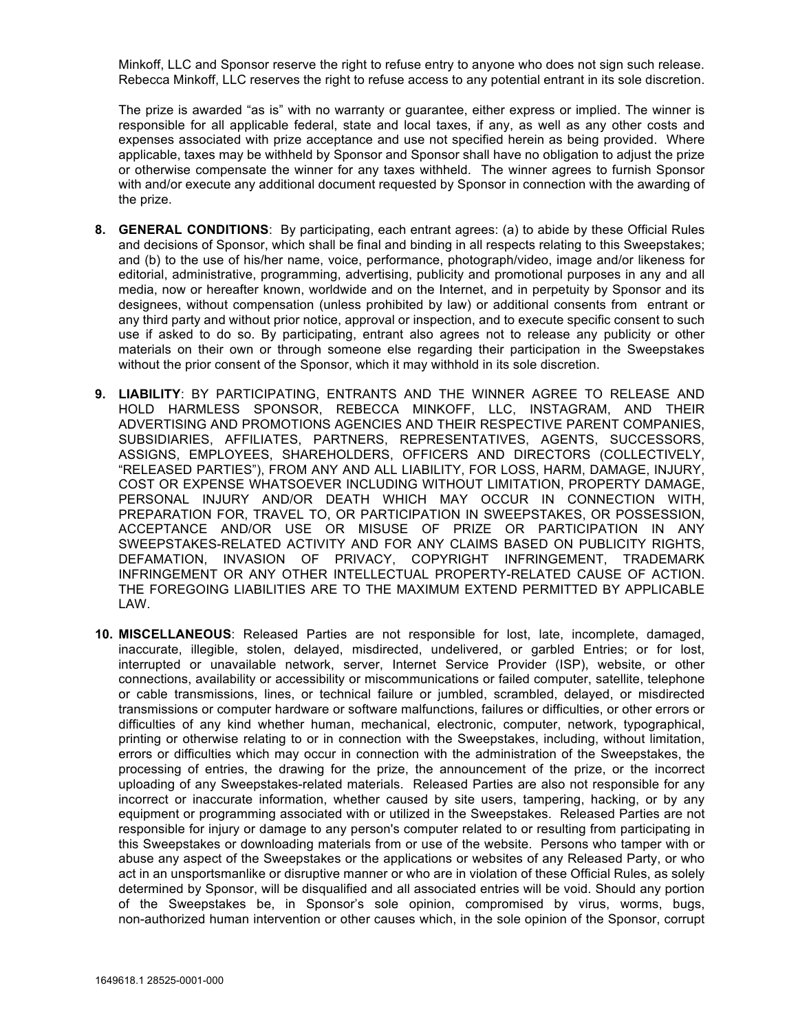Minkoff, LLC and Sponsor reserve the right to refuse entry to anyone who does not sign such release. Rebecca Minkoff, LLC reserves the right to refuse access to any potential entrant in its sole discretion.

The prize is awarded "as is" with no warranty or guarantee, either express or implied. The winner is responsible for all applicable federal, state and local taxes, if any, as well as any other costs and expenses associated with prize acceptance and use not specified herein as being provided. Where applicable, taxes may be withheld by Sponsor and Sponsor shall have no obligation to adjust the prize or otherwise compensate the winner for any taxes withheld. The winner agrees to furnish Sponsor with and/or execute any additional document requested by Sponsor in connection with the awarding of the prize.

- **8. GENERAL CONDITIONS**: By participating, each entrant agrees: (a) to abide by these Official Rules and decisions of Sponsor, which shall be final and binding in all respects relating to this Sweepstakes; and (b) to the use of his/her name, voice, performance, photograph/video, image and/or likeness for editorial, administrative, programming, advertising, publicity and promotional purposes in any and all media, now or hereafter known, worldwide and on the Internet, and in perpetuity by Sponsor and its designees, without compensation (unless prohibited by law) or additional consents from entrant or any third party and without prior notice, approval or inspection, and to execute specific consent to such use if asked to do so. By participating, entrant also agrees not to release any publicity or other materials on their own or through someone else regarding their participation in the Sweepstakes without the prior consent of the Sponsor, which it may withhold in its sole discretion.
- **9. LIABILITY**: BY PARTICIPATING, ENTRANTS AND THE WINNER AGREE TO RELEASE AND HOLD HARMLESS SPONSOR, REBECCA MINKOFF, LLC, INSTAGRAM, AND THEIR ADVERTISING AND PROMOTIONS AGENCIES AND THEIR RESPECTIVE PARENT COMPANIES, SUBSIDIARIES, AFFILIATES, PARTNERS, REPRESENTATIVES, AGENTS, SUCCESSORS, ASSIGNS, EMPLOYEES, SHAREHOLDERS, OFFICERS AND DIRECTORS (COLLECTIVELY, "RELEASED PARTIES"), FROM ANY AND ALL LIABILITY, FOR LOSS, HARM, DAMAGE, INJURY, COST OR EXPENSE WHATSOEVER INCLUDING WITHOUT LIMITATION, PROPERTY DAMAGE, PERSONAL INJURY AND/OR DEATH WHICH MAY OCCUR IN CONNECTION WITH, PREPARATION FOR, TRAVEL TO, OR PARTICIPATION IN SWEEPSTAKES, OR POSSESSION, ACCEPTANCE AND/OR USE OR MISUSE OF PRIZE OR PARTICIPATION IN ANY SWEEPSTAKES-RELATED ACTIVITY AND FOR ANY CLAIMS BASED ON PUBLICITY RIGHTS, DEFAMATION, INVASION OF PRIVACY, COPYRIGHT INFRINGEMENT, TRADEMARK INFRINGEMENT OR ANY OTHER INTELLECTUAL PROPERTY-RELATED CAUSE OF ACTION. THE FOREGOING LIABILITIES ARE TO THE MAXIMUM EXTEND PERMITTED BY APPLICABLE LAW.
- **10. MISCELLANEOUS**: Released Parties are not responsible for lost, late, incomplete, damaged, inaccurate, illegible, stolen, delayed, misdirected, undelivered, or garbled Entries; or for lost, interrupted or unavailable network, server, Internet Service Provider (ISP), website, or other connections, availability or accessibility or miscommunications or failed computer, satellite, telephone or cable transmissions, lines, or technical failure or jumbled, scrambled, delayed, or misdirected transmissions or computer hardware or software malfunctions, failures or difficulties, or other errors or difficulties of any kind whether human, mechanical, electronic, computer, network, typographical, printing or otherwise relating to or in connection with the Sweepstakes, including, without limitation, errors or difficulties which may occur in connection with the administration of the Sweepstakes, the processing of entries, the drawing for the prize, the announcement of the prize, or the incorrect uploading of any Sweepstakes-related materials. Released Parties are also not responsible for any incorrect or inaccurate information, whether caused by site users, tampering, hacking, or by any equipment or programming associated with or utilized in the Sweepstakes. Released Parties are not responsible for injury or damage to any person's computer related to or resulting from participating in this Sweepstakes or downloading materials from or use of the website. Persons who tamper with or abuse any aspect of the Sweepstakes or the applications or websites of any Released Party, or who act in an unsportsmanlike or disruptive manner or who are in violation of these Official Rules, as solely determined by Sponsor, will be disqualified and all associated entries will be void. Should any portion of the Sweepstakes be, in Sponsor's sole opinion, compromised by virus, worms, bugs, non-authorized human intervention or other causes which, in the sole opinion of the Sponsor, corrupt